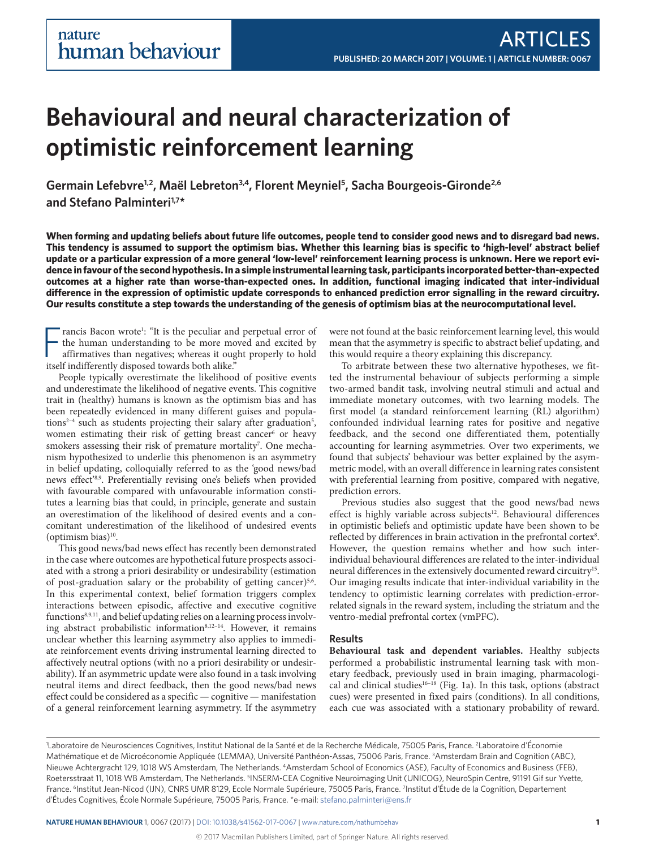# **Behavioural and neural characterization of optimistic reinforcement learning**

**Germain Lefebvre1,2 , Maël Lebreton3,4, Florent Meyniel5 , Sacha Bourgeois-Gironde2,6 and Stefano Palminteri1,7 \***

**When forming and updating beliefs about future life outcomes, people tend to consider good news and to disregard bad news. This tendency is assumed to support the optimism bias. Whether this learning bias is specific to 'high-level' abstract belief update or a particular expression of a more general 'low-level' reinforcement learning process is unknown. Here we report evidence in favour of the second hypothesis. In a simple instrumental learning task, participants incorporated better-than-expected outcomes at a higher rate than worse-than-expected ones. In addition, functional imaging indicated that inter-individual difference in the expression of optimistic update corresponds to enhanced prediction error signalling in the reward circuitry. Our results constitute a step towards the understanding of the genesis of optimism bias at the neurocomputational level.**

Francis Bacon wrote<sup>1</sup>: "It is the peculiar and the human understanding to be more modifferently disposed towards both alike." rancis Bacon wrote<sup>1</sup>: "It is the peculiar and perpetual error of the human understanding to be more moved and excited by affirmatives than negatives; whereas it ought properly to hold

People typically overestimate the likelihood of positive events and underestimate the likelihood of negative events. This cognitive trait in (healthy) humans is known as the optimism bias and has been repeatedly evidenced in many different guises and popula-tions<sup>2-4</sup> such as students projecting their salary after graduation<sup>[5](#page-7-2)</sup>, women estimating their risk of getting breast cancer<sup>[6](#page-7-3)</sup> or heavy smokers assessing their risk of premature mortality<sup>7</sup>. One mechanism hypothesized to underlie this phenomenon is an asymmetry in belief updating, colloquially referred to as the 'good news/bad news effect<sup>['8,](#page-8-1)[9](#page-8-2)</sup>. Preferentially revising one's beliefs when provided with favourable compared with unfavourable information constitutes a learning bias that could, in principle, generate and sustain an overestimation of the likelihood of desired events and a concomitant underestimation of the likelihood of undesired events (optimism bias) $10$ .

This good news/bad news effect has recently been demonstrated in the case where outcomes are hypothetical future prospects associated with a strong a priori desirability or undesirability (estimation of post-graduation salary or the probability of getting cancer)<sup>5,[6](#page-7-3)</sup>. In this experimental context, belief formation triggers complex interactions between episodic, affective and executive cognitive functions<sup>[8](#page-8-1),[9](#page-8-2),11</sup>, and belief updating relies on a learning process involv-ing abstract probabilistic information<sup>[8](#page-8-1),12-14</sup>. However, it remains unclear whether this learning asymmetry also applies to immediate reinforcement events driving instrumental learning directed to affectively neutral options (with no a priori desirability or undesirability). If an asymmetric update were also found in a task involving neutral items and direct feedback, then the good news/bad news effect could be considered as a specific — cognitive — manifestation of a general reinforcement learning asymmetry. If the asymmetry were not found at the basic reinforcement learning level, this would mean that the asymmetry is specific to abstract belief updating, and this would require a theory explaining this discrepancy.

To arbitrate between these two alternative hypotheses, we fitted the instrumental behaviour of subjects performing a simple two-armed bandit task, involving neutral stimuli and actual and immediate monetary outcomes, with two learning models. The first model (a standard reinforcement learning (RL) algorithm) confounded individual learning rates for positive and negative feedback, and the second one differentiated them, potentially accounting for learning asymmetries. Over two experiments, we found that subjects' behaviour was better explained by the asymmetric model, with an overall difference in learning rates consistent with preferential learning from positive, compared with negative, prediction errors.

Previous studies also suggest that the good news/bad news effect is highly variable across subjects<sup>[12](#page-8-5)</sup>. Behavioural differences in optimistic beliefs and optimistic update have been shown to be reflected by differences in brain activation in the prefrontal cortex<sup>8</sup>. However, the question remains whether and how such interindividual behavioural differences are related to the inter-individual neural differences in the extensively documented reward circuitr[y15.](#page-8-6) Our imaging results indicate that inter-individual variability in the tendency to optimistic learning correlates with prediction-errorrelated signals in the reward system, including the striatum and the ventro-medial prefrontal cortex (vmPFC).

# **Results**

**Behavioural task and dependent variables.** Healthy subjects performed a probabilistic instrumental learning task with monetary feedback, previously used in brain imaging, pharmacologi-cal and clinical studies<sup>16–18</sup> [\(Fig. 1a\)](#page-1-0). In this task, options (abstract cues) were presented in fixed pairs (conditions). In all conditions, each cue was associated with a stationary probability of reward.

<sup>&</sup>lt;sup>1</sup>Laboratoire de Neurosciences Cognitives, Institut National de la Santé et de la Recherche Médicale, 75005 Paris, France. <sup>2</sup>Laboratoire d'Économie Mathématique et de Microéconomie Appliquée (LEMMA), Université Panthéon-Assas, 75006 Paris, France. 3 Amsterdam Brain and Cognition (ABC), Nieuwe Achtergracht 129, 1018 WS Amsterdam, The Netherlands. 4Amsterdam School of Economics (ASE), Faculty of Economics and Business (FEB), Roetersstraat 11, 1018 WB Amsterdam, The Netherlands. <sup>s</sup>INSERM-CEA Cognitive Neuroimaging Unit (UNICOG), NeuroSpin Centre, 91191 Gif sur Yvette, France. <sup>6</sup>Institut Jean-Nicod (IJN), CNRS UMR 8129, Ecole Normale Supérieure, 75005 Paris, France. <sup>7</sup>Institut d'Étude de la Cognition, Departement d'Études Cognitives, École Normale Supérieure, 75005 Paris, France. \*e-mail: [stefano.palminteri@ens.fr](mailto:stefano.palminteri@ens.fr)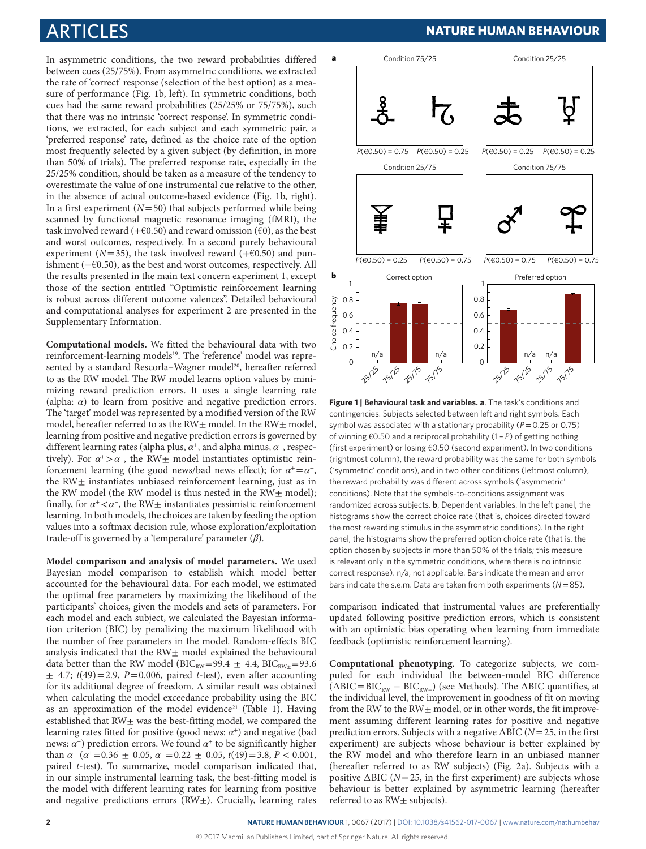In asymmetric conditions, the two reward probabilities differed between cues (25/75%). From asymmetric conditions, we extracted the rate of 'correct' response (selection of the best option) as a measure of performance [\(Fig. 1b](#page-1-0), left). In symmetric conditions, both cues had the same reward probabilities (25/25% or 75/75%), such that there was no intrinsic 'correct response'. In symmetric conditions, we extracted, for each subject and each symmetric pair, a 'preferred response' rate, defined as the choice rate of the option most frequently selected by a given subject (by definition, in more than 50% of trials). The preferred response rate, especially in the 25/25% condition, should be taken as a measure of the tendency to overestimate the value of one instrumental cue relative to the other, in the absence of actual outcome-based evidence ([Fig. 1b,](#page-1-0) right). In a first experiment  $(N=50)$  that subjects performed while being scanned by functional magnetic resonance imaging (fMRI), the task involved reward (+ $\epsilon$ 0.50) and reward omission ( $\epsilon$ 0), as the best and worst outcomes, respectively. In a second purely behavioural experiment ( $N=35$ ), the task involved reward ( $+60.50$ ) and punishment (−€0.50), as the best and worst outcomes, respectively. All the results presented in the main text concern experiment 1, except those of the section entitled "Optimistic reinforcement learning is robust across different outcome valences". Detailed behavioural and computational analyses for experiment 2 are presented in the Supplementary Information.

**Computational models.** We fitted the behavioural data with two reinforcement-learning models<sup>[19](#page-8-8)</sup>. The 'reference' model was represented by a standard Rescorla–Wagner model<sup>20</sup>, hereafter referred to as the RW model. The RW model learns option values by minimizing reward prediction errors. It uses a single learning rate (alpha: *α*) to learn from positive and negative prediction errors. The 'target' model was represented by a modified version of the RW model, hereafter referred to as the RW $\pm$  model. In the RW $\pm$  model, learning from positive and negative prediction errors is governed by different learning rates (alpha plus, *α*+, and alpha minus, *α*−, respectively). For  $\alpha^+ > \alpha^-$ , the RW $\pm$  model instantiates optimistic reinforcement learning (the good news/bad news effect); for  $\alpha^+ = \alpha^-$ , the RW $\pm$  instantiates unbiased reinforcement learning, just as in the RW model (the RW model is thus nested in the RW $\pm$  model); finally, for  $\alpha^+ < \alpha^-$ , the RW $\pm$  instantiates pessimistic reinforcement learning. In both models, the choices are taken by feeding the option values into a softmax decision rule, whose exploration/exploitation trade-off is governed by a 'temperature' parameter (*β*).

**Model comparison and analysis of model parameters.** We used Bayesian model comparison to establish which model better accounted for the behavioural data. For each model, we estimated the optimal free parameters by maximizing the likelihood of the participants' choices, given the models and sets of parameters. For each model and each subject, we calculated the Bayesian information criterion (BIC) by penalizing the maximum likelihood with the number of free parameters in the model. Random-effects BIC analysis indicated that the RW $\pm$  model explained the behavioural data better than the RW model (BIC<sub>RW</sub>=99.4  $\pm$  4.4, BIC<sub>RW±</sub>=93.6  $\pm$  4.7;  $t(49) = 2.9$ ,  $P = 0.006$ , paired *t*-test), even after accounting for its additional degree of freedom. A similar result was obtained when calculating the model exceedance probability using the BIC as an approximation of the model evidence<sup>21</sup> (Table 1). Having established that RW± was the best-fitting model, we compared the learning rates fitted for positive (good news:  $\alpha^+$ ) and negative (bad news:  $\alpha^-$ ) prediction errors. We found  $\alpha^+$  to be significantly higher than  $\alpha$ <sup>−</sup> ( $\alpha$ <sup>+</sup>=0.36 ± 0.05,  $\alpha$ <sup>−</sup> =0.22 ± 0.05,  $t$ (49)=3.8, *P* < 0.001, paired *t*-test). To summarize, model comparison indicated that, in our simple instrumental learning task, the best-fitting model is the model with different learning rates for learning from positive and negative predictions errors  $(RW<sub>±</sub>)$ . Crucially, learning rates

# Articles **Nature Human Behaviour**



<span id="page-1-0"></span>**Figure 1 | Behavioural task and variables. a**, The task's conditions and contingencies. Subjects selected between left and right symbols. Each symbol was associated with a stationary probability (*P*= 0.25 or 0.75) of winning €0.50 and a reciprocal probability (1 – *P*) of getting nothing (first experiment) or losing €0.50 (second experiment). In two conditions (rightmost column), the reward probability was the same for both symbols ('symmetric' conditions), and in two other conditions (leftmost column), the reward probability was different across symbols ('asymmetric' conditions). Note that the symbols-to-conditions assignment was randomized across subjects. **b**, Dependent variables. In the left panel, the histograms show the correct choice rate (that is, choices directed toward the most rewarding stimulus in the asymmetric conditions). In the right panel, the histograms show the preferred option choice rate (that is, the option chosen by subjects in more than 50% of the trials; this measure is relevant only in the symmetric conditions, where there is no intrinsic correct response). n/a, not applicable. Bars indicate the mean and error bars indicate the s.e.m. Data are taken from both experiments (*N*= 85).

comparison indicated that instrumental values are preferentially updated following positive prediction errors, which is consistent with an optimistic bias operating when learning from immediate feedback (optimistic reinforcement learning).

**Computational phenotyping.** To categorize subjects, we computed for each individual the between-model BIC difference  $(\Delta BIC = BIC_{RW} - BIC_{RW\pm})$  (see Methods). The  $\Delta BIC$  quantifies, at the individual level, the improvement in goodness of fit on moving from the RW to the RW $\pm$  model, or in other words, the fit improvement assuming different learning rates for positive and negative prediction errors. Subjects with a negative ∆BIC (*N*=25, in the first experiment) are subjects whose behaviour is better explained by the RW model and who therefore learn in an unbiased manner (hereafter referred to as RW subjects) [\(Fig. 2a\)](#page-2-0). Subjects with a positive ∆BIC (*N*=25, in the first experiment) are subjects whose behaviour is better explained by asymmetric learning (hereafter referred to as RW± subjects).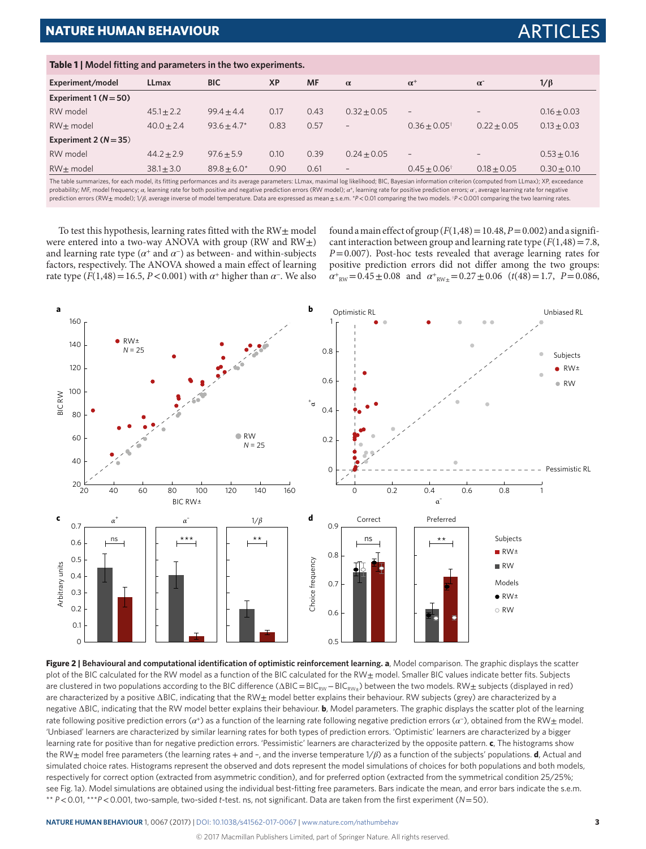# **NATURE HUMAN BEHAVIOUR**

<span id="page-2-1"></span>**Table 1 | Model fitting and parameters in the two experiments.**

| <b>Rabic Terroger memig and parameters in the two experiments.</b> |                |                |           |           |                          |                           |                          |                 |
|--------------------------------------------------------------------|----------------|----------------|-----------|-----------|--------------------------|---------------------------|--------------------------|-----------------|
| Experiment/model                                                   | LLmax          | <b>BIC</b>     | <b>XP</b> | <b>MF</b> | $\alpha$                 | $\alpha^+$                | $\alpha$ <sup>-</sup>    | $1/\beta$       |
| Experiment $1(N=50)$                                               |                |                |           |           |                          |                           |                          |                 |
| RW model                                                           | $45.1 \pm 2.2$ | $99.4 + 4.4$   | 0.17      | 0.43      | $0.32 + 0.05$            | $\overline{\phantom{0}}$  | $\overline{\phantom{0}}$ | $0.16 + 0.03$   |
| $RW_{\pm}$ model                                                   | $40.0 + 2.4$   | $93.6 + 4.7$ * | 0.83      | 0.57      | $\overline{\phantom{a}}$ | $0.36 + 0.05^{\dagger}$   | $0.22 + 0.05$            | $0.13 + 0.03$   |
| Experiment 2 ( $N = 35$ )                                          |                |                |           |           |                          |                           |                          |                 |
| RW model                                                           | $44.2 + 2.9$   | $97.6 + 5.9$   | 0.10      | 0.39      | $0.24 + 0.05$            | $\overline{\phantom{a}}$  | $\overline{\phantom{0}}$ | $0.53 + 0.16$   |
| $RW_{\pm}$ model                                                   | $38.1 \pm 3.0$ | $89.8 + 6.0*$  | 0.90      | 0.61      | $\overline{\phantom{a}}$ | $0.45 \pm 0.06^{\dagger}$ | $0.18 \pm 0.05$          | $0.30 \pm 0.10$ |

The table summarizes, for each model, its fitting performances and its average parameters: LLmax, maximal log likelihood; BIC, Bayesian information criterion (computed from LLmax); XP, exceedance probability; MF, model frequency; *α*, learning rate for both positive and negative prediction errors (RW model); *α*<sup>+</sup>, learning rate for positive prediction errors; *α*– , average learning rate for negative prediction errors (RW± model); 1/*β*, average inverse of model temperature. Data are expressed as mean ± s.e.m. \**P*< 0.01 comparing the two models. † *P*< 0.001 comparing the two learning rates.

To test this hypothesis, learning rates fitted with the  $RW_{\pm}$  model were entered into a two-way ANOVA with group (RW and RW±) and learning rate type ( $\alpha$ <sup>+</sup> and  $\alpha$ <sup>-</sup>) as between- and within-subjects factors, respectively. The ANOVA showed a main effect of learning rate type ( $F(1,48) = 16.5$ ,  $P < 0.001$ ) with  $\alpha^+$  higher than  $\alpha^-$ . We also

found a main effect of group  $(F(1,48)=10.48, P=0.002)$  and a significant interaction between group and learning rate type  $(F(1,48)=7.8$ , *P*=0.007). Post-hoc tests revealed that average learning rates for positive prediction errors did not differ among the two groups:  $\alpha^+_{\text{RW}} = 0.45 \pm 0.08$  and  $\alpha^+_{\text{RW}\pm} = 0.27 \pm 0.06$  (*t*(48) = 1.7, *P* = 0.086,



<span id="page-2-0"></span>**Figure 2 | Behavioural and computational identification of optimistic reinforcement learning. a**, Model comparison. The graphic displays the scatter plot of the BIC calculated for the RW model as a function of the BIC calculated for the RW± model. Smaller BIC values indicate better fits. Subjects are clustered in two populations according to the BIC difference ( $\Delta$ BIC<sub>RW</sub> − BIC<sub>RW</sub> − BIC<sub>RW±</sub>) between the two models. RW± subjects (displayed in red) are characterized by a positive ∆BIC, indicating that the RW± model better explains their behaviour. RW subjects (grey) are characterized by a negative ∆BIC, indicating that the RW model better explains their behaviour. **b**, Model parameters. The graphic displays the scatter plot of the learning rate following positive prediction errors (*α*<sup>+</sup>) as a function of the learning rate following negative prediction errors (*α*<sup>−</sup>), obtained from the RW± model. 'Unbiased' learners are characterized by similar learning rates for both types of prediction errors. 'Optimistic' learners are characterized by a bigger learning rate for positive than for negative prediction errors. 'Pessimistic' learners are characterized by the opposite pattern. **c**, The histograms show the RW± model free parameters (the learning rates + and –, and the inverse temperature 1/*β*) as a function of the subjects' populations. **d**, Actual and simulated choice rates. Histograms represent the observed and dots represent the model simulations of choices for both populations and both models, respectively for correct option (extracted from asymmetric condition), and for preferred option (extracted from the symmetrical condition 25/25%; see [Fig. 1a](#page-1-0)). Model simulations are obtained using the individual best-fitting free parameters. Bars indicate the mean, and error bars indicate the s.e.m. \*\* *P*< 0.01, \*\*\**P*< 0.001, two-sample, two-sided *t*-test. ns, not significant. Data are taken from the first experiment (*N*= 50).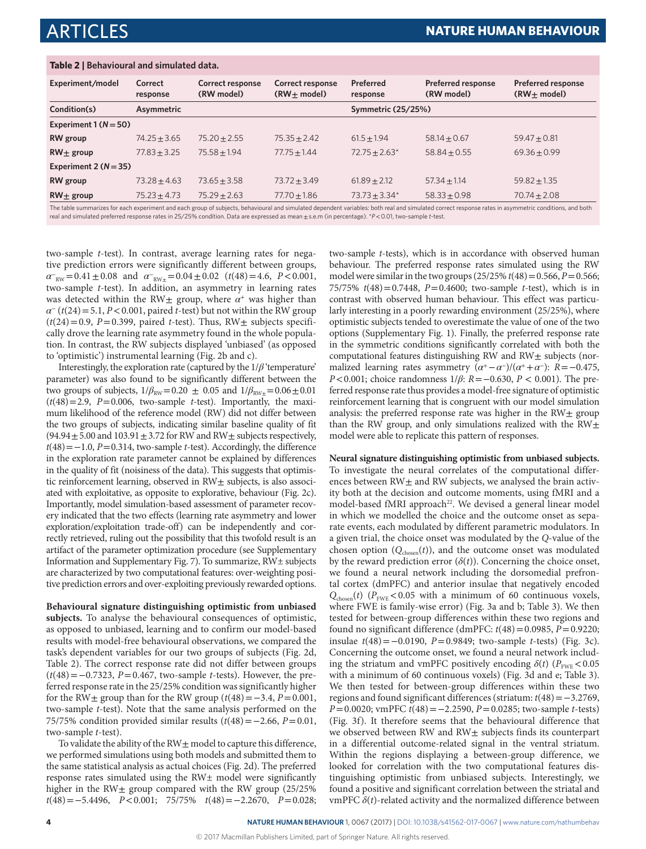# <span id="page-3-0"></span>**Table 2 | Behavioural and simulated data.**

| Experiment/model                                                                                                                                                                                      | Correct<br>response | <b>Correct response</b><br>(RW model) | <b>Correct response</b><br>(RW+ model) | Preferred<br>response | <b>Preferred response</b><br>(RW model) | <b>Preferred response</b><br>$(RW + model)$ |  |
|-------------------------------------------------------------------------------------------------------------------------------------------------------------------------------------------------------|---------------------|---------------------------------------|----------------------------------------|-----------------------|-----------------------------------------|---------------------------------------------|--|
| Condition(s)                                                                                                                                                                                          | Asymmetric          |                                       |                                        | Symmetric (25/25%)    |                                         |                                             |  |
| Experiment $1(N=50)$                                                                                                                                                                                  |                     |                                       |                                        |                       |                                         |                                             |  |
| RW group                                                                                                                                                                                              | $74.25 + 3.65$      | $75.20 + 2.55$                        | $75.35 \pm 2.42$                       | $61.5 + 1.94$         | $58.14 \pm 0.67$                        | $59.47 \pm 0.81$                            |  |
| $RW +$ group                                                                                                                                                                                          | $77.83 \pm 3.25$    | $75.58 + 1.94$                        | $77.75 + 1.44$                         | $72.75 + 2.63*$       | $58.84 \pm 0.55$                        | $69.36 + 0.99$                              |  |
| Experiment 2 ( $N = 35$ )                                                                                                                                                                             |                     |                                       |                                        |                       |                                         |                                             |  |
| RW group                                                                                                                                                                                              | $73.28 + 4.63$      | $73.65 + 3.58$                        | $73.72 + 3.49$                         | $61.89 + 2.12$        | $57.34 + 1.14$                          | $59.82 \pm 1.35$                            |  |
| $RW_{\pm}$ group                                                                                                                                                                                      | $75.23 + 4.73$      | $75.29 + 2.63$                        | $77.70 + 1.86$                         | $73.73 + 3.34*$       | $58.33 \pm 0.98$                        | $70.74 \pm 2.08$                            |  |
| The table summarizes for each experiment and each group of subjects, behavioural and simulated dependent variables; both real and simulated correct response rates in asymmetric conditions, and both |                     |                                       |                                        |                       |                                         |                                             |  |

The table summarizes for each experiment and each group of subjects, behavioural and simulated dependent variables: both real and simulated correct response rates in asymmetric conditions, and both<br>real and simulated prefe

two-sample *t*-test). In contrast, average learning rates for negative prediction errors were significantly different between groups,  $a<sup>-</sup>_{RW} = 0.41 \pm 0.08$  and  $a<sup>-</sup>_{RW\pm} = 0.04 \pm 0.02$  (*t*(48) = 4.6, *P* < 0.001, two-sample *t*-test). In addition, an asymmetry in learning rates was detected within the RW $\pm$  group, where  $\alpha^+$  was higher than  $a^{-}$  (*t*(24) = 5.1, *P* < 0.001, paired *t*-test) but not within the RW group  $(t(24)=0.9, P=0.399,$  paired *t*-test). Thus, RW $\pm$  subjects specifically drove the learning rate asymmetry found in the whole population. In contrast, the RW subjects displayed 'unbiased' (as opposed to 'optimistic') instrumental learning [\(Fig. 2b and c\)](#page-2-0).

Interestingly, the exploration rate (captured by the 1/*β* 'temperature' parameter) was also found to be significantly different between the two groups of subjects,  $1/\beta_{\text{RW}} = 0.20 \pm 0.05$  and  $1/\beta_{\text{RW}_{\pm}} = 0.06 \pm 0.01$  $(t(48)=2.9, P=0.006,$  two-sample *t*-test). Importantly, the maximum likelihood of the reference model (RW) did not differ between the two groups of subjects, indicating similar baseline quality of fit  $(94.94 \pm 5.00$  and  $103.91 \pm 3.72$  for RW and RW $\pm$  subjects respectively, *t*(48)=−1.0, *P*=0.314, two-sample *t*-test). Accordingly, the difference in the exploration rate parameter cannot be explained by differences in the quality of fit (noisiness of the data). This suggests that optimistic reinforcement learning, observed in RW± subjects, is also associated with exploitative, as opposite to explorative, behaviour [\(Fig. 2c](#page-2-0)). Importantly, model simulation-based assessment of parameter recovery indicated that the two effects (learning rate asymmetry and lower exploration/exploitation trade-off) can be independently and correctly retrieved, ruling out the possibility that this twofold result is an artifact of the parameter optimization procedure (see Supplementary Information and Supplementary Fig. 7). To summarize, RW± subjects are characterized by two computational features: over-weighting positive prediction errors and over-exploiting previously rewarded options.

**Behavioural signature distinguishing optimistic from unbiased subjects.** To analyse the behavioural consequences of optimistic, as opposed to unbiased, learning and to confirm our model-based results with model-free behavioural observations, we compared the task's dependent variables for our two groups of subjects [\(Fig. 2d,](#page-2-0) [Table 2\)](#page-3-0). The correct response rate did not differ between groups (*t*(48)=−0.7323, *P*=0.467, two-sample *t*-tests). However, the preferred response rate in the 25/25% condition was significantly higher for the RW $\pm$  group than for the RW group ( $t(48) = -3.4$ ,  $P = 0.001$ , two-sample *t*-test). Note that the same analysis performed on the 75/75% condition provided similar results (*t*(48)=−2.66, *P*=0.01, two-sample *t*-test).

To validate the ability of the  $RW\pm$  model to capture this difference, we performed simulations using both models and submitted them to the same statistical analysis as actual choices [\(Fig. 2d\)](#page-2-0). The preferred response rates simulated using the RW± model were significantly higher in the RW $\pm$  group compared with the RW group (25/25%) *t*(48)=−5.4496, *P*<0.001; 75/75% *t*(48)=−2.2670, *P*=0.028;

two-sample *t*-tests), which is in accordance with observed human behaviour. The preferred response rates simulated using the RW model were similar in the two groups (25/25% *t*(48)=0.566, *P*=0.566; 75/75% *t*(48)=0.7448, *P*=0.4600; two-sample *t*-test), which is in contrast with observed human behaviour. This effect was particularly interesting in a poorly rewarding environment (25/25%), where optimistic subjects tended to overestimate the value of one of the two options (Supplementary Fig. 1). Finally, the preferred response rate in the symmetric conditions significantly correlated with both the computational features distinguishing RW and RW± subjects (normalized learning rates asymmetry  $(\alpha^+ - \alpha^-)/(\alpha^+ + \alpha^-)$ :  $R = -0.475$ , *P*<0.001; choice randomness 1/*β*: *R*=−0.630, *P* < 0.001). The preferred response rate thus provides a model-free signature of optimistic reinforcement learning that is congruent with our model simulation analysis: the preferred response rate was higher in the  $RW_{\pm}$  group than the RW group, and only simulations realized with the RW $\pm$ model were able to replicate this pattern of responses.

**Neural signature distinguishing optimistic from unbiased subjects.** To investigate the neural correlates of the computational differences between  $RW_{\pm}$  and RW subjects, we analysed the brain activity both at the decision and outcome moments, using fMRI and a model-based fMRI approach<sup>[22](#page-8-11)</sup>. We devised a general linear model in which we modelled the choice and the outcome onset as separate events, each modulated by different parametric modulators. In a given trial, the choice onset was modulated by the *Q*-value of the chosen option  $(Q<sub>chosen</sub>(t))$ , and the outcome onset was modulated by the reward prediction error  $(\delta(t))$ . Concerning the choice onset, we found a neural network including the dorsomedial prefrontal cortex (dmPFC) and anterior insulae that negatively encoded  $Q_{\text{chosen}}(t)$  ( $P_{\text{FWE}}$  < 0.05 with a minimum of 60 continuous voxels, where FWE is family-wise error) ([Fig. 3a and b;](#page-4-0) [Table 3](#page-5-0)). We then tested for between-group differences within these two regions and found no significant difference (dmPFC: *t*(48)=0.0985, *P*=0.9220; insulae *t*(48)=−0.0190, *P*=0.9849; two-sample *t*-tests) [\(Fig. 3c](#page-4-0)). Concerning the outcome onset, we found a neural network including the striatum and vmPFC positively encoding  $\delta(t)$  ( $P_{\text{FWE}}$  < 0.05 with a minimum of 60 continuous voxels) [\(Fig. 3d and e](#page-4-0); [Table 3](#page-5-0)). We then tested for between-group differences within these two regions and found significant differences (striatum: *t*(48)=−3.2769, *P*=0.0020; vmPFC *t*(48)=−2.2590, *P*=0.0285; two-sample *t*-tests) ([Fig. 3](#page-4-0)f). It therefore seems that the behavioural difference that we observed between RW and  $RW<sub>±</sub>$  subjects finds its counterpart in a differential outcome-related signal in the ventral striatum. Within the regions displaying a between-group difference, we looked for correlation with the two computational features distinguishing optimistic from unbiased subjects. Interestingly, we found a positive and significant correlation between the striatal and vmPFC *δ*(*t*)-related activity and the normalized difference between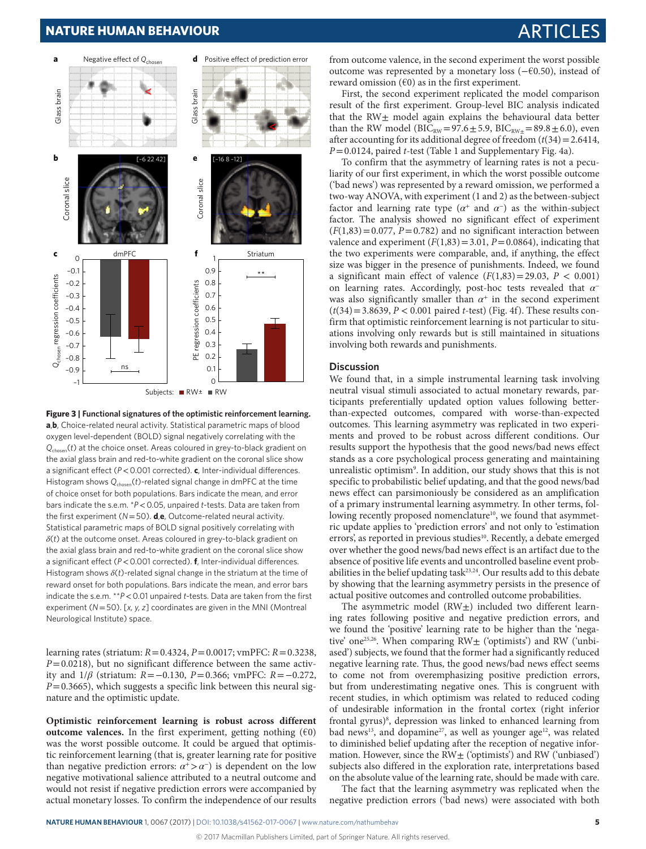# **NATURE HUMAN BEHAVIOUR** And the second second and the second articles of  $\Delta RTICLES$



<span id="page-4-0"></span>**Figure 3 | Functional signatures of the optimistic reinforcement learning. a**,**b**, Choice-related neural activity. Statistical parametric maps of blood oxygen level-dependent (BOLD) signal negatively correlating with the *Q*chosen(*t*) at the choice onset. Areas coloured in grey-to-black gradient on the axial glass brain and red-to-white gradient on the coronal slice show a significant effect (*P*< 0.001 corrected). **c**, Inter-individual differences. Histogram shows  $Q_{\text{chosen}}(t)$ -related signal change in dmPFC at the time of choice onset for both populations. Bars indicate the mean, and error bars indicate the s.e.m. \**P*< 0.05, unpaired *t*-tests. Data are taken from the first experiment (*N*= 50). **d**,**e**, Outcome-related neural activity. Statistical parametric maps of BOLD signal positively correlating with *δ*(*t*) at the outcome onset. Areas coloured in grey-to-black gradient on the axial glass brain and red-to-white gradient on the coronal slice show a significant effect (*P*< 0.001 corrected). **f**, Inter-individual differences. Histogram shows *δ*(*t*)-related signal change in the striatum at the time of reward onset for both populations. Bars indicate the mean, and error bars indicate the s.e.m. \*\**P*< 0.01 unpaired *t*-tests. Data are taken from the first experiment (*N*= 50). [*x, y, z*] coordinates are given in the MNI (Montreal Neurological Institute) space.

learning rates (striatum: *R*=0.4324, *P*=0.0017; vmPFC: *R*=0.3238, *P*=0.0218), but no significant difference between the same activity and 1/*β* (striatum: *R*=−0.130, *P*=0.366; vmPFC: *R*=−0.272,  $P=0.3665$ ), which suggests a specific link between this neural signature and the optimistic update.

**Optimistic reinforcement learning is robust across different outcome valences.** In the first experiment, getting nothing  $(60)$ was the worst possible outcome. It could be argued that optimistic reinforcement learning (that is, greater learning rate for positive than negative prediction errors:  $\alpha^+ > \alpha^-$ ) is dependent on the low negative motivational salience attributed to a neutral outcome and would not resist if negative prediction errors were accompanied by actual monetary losses. To confirm the independence of our results from outcome valence, in the second experiment the worst possible outcome was represented by a monetary loss (−€0.50), instead of reward omission  $(60)$  as in the first experiment.

First, the second experiment replicated the model comparison result of the first experiment. Group-level BIC analysis indicated that the RW $\pm$  model again explains the behavioural data better than the RW model (BIC<sub>RW</sub> = 97.6 ± 5.9, BIC<sub>RW±</sub> = 89.8 ± 6.0), even after accounting for its additional degree of freedom  $(t(34)=2.6414,$ *P*=0.0124, paired *t*-test [\(Table 1](#page-2-1) and Supplementary Fig. 4a).

To confirm that the asymmetry of learning rates is not a peculiarity of our first experiment, in which the worst possible outcome ('bad news') was represented by a reward omission, we performed a two-way ANOVA, with experiment (1 and 2) as the between-subject factor and learning rate type  $(\alpha^+$  and  $\alpha^-)$  as the within-subject factor. The analysis showed no significant effect of experiment  $(F(1,83)=0.077, P=0.782)$  and no significant interaction between valence and experiment  $(F(1,83) = 3.01, P = 0.0864)$ , indicating that the two experiments were comparable, and, if anything, the effect size was bigger in the presence of punishments. Indeed, we found a significant main effect of valence  $(F(1,83)=29.03, P < 0.001)$ on learning rates. Accordingly, post-hoc tests revealed that *α*<sup>−</sup> was also significantly smaller than  $\alpha^+$  in the second experiment (*t*(34)=3.8639, *P* < 0.001 paired *t*-test) ([Fig. 4](#page-4-0)f). These results confirm that optimistic reinforcement learning is not particular to situations involving only rewards but is still maintained in situations involving both rewards and punishments.

### **Discussion**

We found that, in a simple instrumental learning task involving neutral visual stimuli associated to actual monetary rewards, participants preferentially updated option values following betterthan-expected outcomes, compared with worse-than-expected outcomes. This learning asymmetry was replicated in two experiments and proved to be robust across different conditions. Our results support the hypothesis that the good news/bad news effect stands as a core psychological process generating and maintaining unrealistic optimis[m9](#page-8-2) . In addition, our study shows that this is not specific to probabilistic belief updating, and that the good news/bad news effect can parsimoniously be considered as an amplification of a primary instrumental learning asymmetry. In other terms, following recently proposed nomenclature<sup>10</sup>, we found that asymmetric update applies to 'prediction errors' and not only to 'estimation errors', as reported in previous studies<sup>10</sup>. Recently, a debate emerged over whether the good news/bad news effect is an artifact due to the absence of positive life events and uncontrolled baseline event probabilities in the belief updating task<sup>23,24</sup>. Our results add to this debate by showing that the learning asymmetry persists in the presence of actual positive outcomes and controlled outcome probabilities.

The asymmetric model  $(RW<sub>±</sub>)$  included two different learning rates following positive and negative prediction errors, and we found the 'positive' learning rate to be higher than the 'negative' on[e25,](#page-8-14)[26](#page-8-15). When comparing RW± ('optimists') and RW ('unbiased') subjects, we found that the former had a significantly reduced negative learning rate. Thus, the good news/bad news effect seems to come not from overemphasizing positive prediction errors, but from underestimating negative ones. This is congruent with recent studies, in which optimism was related to reduced coding of undesirable information in the frontal cortex (right inferior frontal gyrus)<sup>[8](#page-8-1)</sup>, depression was linked to enhanced learning from bad news<sup>13</sup>, and dopamine<sup>27</sup>, as well as younger age<sup>12</sup>, was related to diminished belief updating after the reception of negative information. However, since the RW± ('optimists') and RW ('unbiased') subjects also differed in the exploration rate, interpretations based on the absolute value of the learning rate, should be made with care.

The fact that the learning asymmetry was replicated when the negative prediction errors ('bad news) were associated with both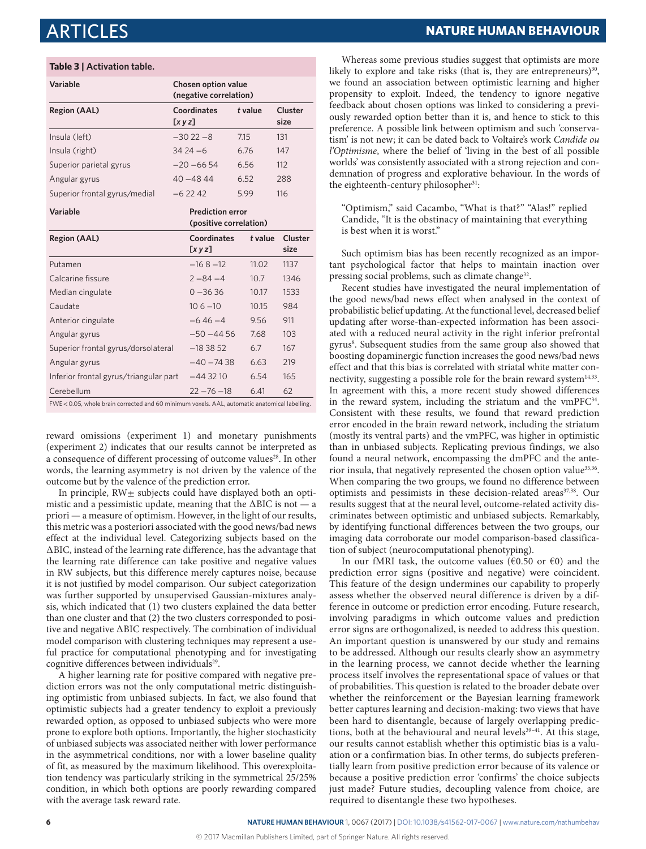# <span id="page-5-0"></span>**Table 3 | Activation table.**

| Variable                                                                                      |  | <b>Chosen option value</b><br>(negative correlation) |      |         |                 |  |  |  |
|-----------------------------------------------------------------------------------------------|--|------------------------------------------------------|------|---------|-----------------|--|--|--|
| <b>Region (AAL)</b>                                                                           |  | Coordinates<br>[x y z]                               |      | t value | Cluster<br>size |  |  |  |
| Insula (left)                                                                                 |  | $-30,22-8$                                           | 7.15 |         | 131             |  |  |  |
| Insula (right)                                                                                |  | $3424 - 6$                                           | 6.76 |         | 147             |  |  |  |
| Superior parietal gyrus                                                                       |  | $-20 - 6654$                                         |      | 6.56    | 112             |  |  |  |
| Angular gyrus                                                                                 |  | $40 - 4844$                                          |      | 6.52    | 288             |  |  |  |
| Superior frontal gyrus/medial                                                                 |  | $-62242$                                             |      | 5.99    | 116             |  |  |  |
| Variable                                                                                      |  | <b>Prediction error</b><br>(positive correlation)    |      |         |                 |  |  |  |
| <b>Region (AAL)</b>                                                                           |  | Coordinates<br>[x y z]                               |      | t value | Cluster<br>size |  |  |  |
| Putamen                                                                                       |  | $-168 - 12$                                          |      | 11.02   | 1137            |  |  |  |
| Calcarine fissure                                                                             |  | $2 - 84 - 4$                                         |      | 10.7    | 1346            |  |  |  |
| Median cingulate                                                                              |  | $0 - 3636$                                           |      | 10.17   | 1533            |  |  |  |
| Caudate                                                                                       |  | $106 - 10$                                           |      | 10.15   | 984             |  |  |  |
| Anterior cingulate                                                                            |  | $-646-4$                                             |      | 9.56    | 911             |  |  |  |
| Angular gyrus                                                                                 |  | $-50 - 4456$                                         |      | 7.68    | 103             |  |  |  |
| Superior frontal gyrus/dorsolateral                                                           |  | $-183852$                                            |      | 6.7     | 167             |  |  |  |
| Angular gyrus                                                                                 |  | $-40 - 7438$                                         |      | 6.63    | 219             |  |  |  |
| Inferior frontal gyrus/triangular part                                                        |  | $-443210$                                            |      | 6.54    | 165             |  |  |  |
| Cerebellum                                                                                    |  | $22 - 76 - 18$                                       |      | 6.41    | 62              |  |  |  |
| FWE < 0.05, whole brain corrected and 60 minimum voxels. AAL, automatic anatomical labelling. |  |                                                      |      |         |                 |  |  |  |

reward omissions (experiment 1) and monetary punishments (experiment 2) indicates that our results cannot be interpreted as a consequence of different processing of outcome values<sup>28</sup>. In other words, the learning asymmetry is not driven by the valence of the outcome but by the valence of the prediction error.

In principle, RW± subjects could have displayed both an optimistic and a pessimistic update, meaning that the ∆BIC is not — a priori — a measure of optimism. However, in the light of our results, this metric was a posteriori associated with the good news/bad news effect at the individual level. Categorizing subjects based on the ∆BIC, instead of the learning rate difference, has the advantage that the learning rate difference can take positive and negative values in RW subjects, but this difference merely captures noise, because it is not justified by model comparison. Our subject categorization was further supported by unsupervised Gaussian-mixtures analysis, which indicated that (1) two clusters explained the data better than one cluster and that (2) the two clusters corresponded to positive and negative ∆BIC respectively. The combination of individual model comparison with clustering techniques may represent a useful practice for computational phenotyping and for investigating cognitive differences between individuals<sup>29</sup>.

A higher learning rate for positive compared with negative prediction errors was not the only computational metric distinguishing optimistic from unbiased subjects. In fact, we also found that optimistic subjects had a greater tendency to exploit a previously rewarded option, as opposed to unbiased subjects who were more prone to explore both options. Importantly, the higher stochasticity of unbiased subjects was associated neither with lower performance in the asymmetrical conditions, nor with a lower baseline quality of fit, as measured by the maximum likelihood. This overexploitation tendency was particularly striking in the symmetrical 25/25% condition, in which both options are poorly rewarding compared with the average task reward rate.

Whereas some previous studies suggest that optimists are more likely to explore and take risks (that is, they are entrepreneurs) $30$ , we found an association between optimistic learning and higher propensity to exploit. Indeed, the tendency to ignore negative feedback about chosen options was linked to considering a previously rewarded option better than it is, and hence to stick to this preference. A possible link between optimism and such 'conservatism' is not new; it can be dated back to Voltaire's work *Candide ou l'Optimisme*, where the belief of 'living in the best of all possible worlds' was consistently associated with a strong rejection and condemnation of progress and explorative behaviour. In the words of the eighteenth-century philosopher<sup>31</sup>:

"Optimism," said Cacambo, "What is that?" "Alas!" replied Candide, "It is the obstinacy of maintaining that everything is best when it is worst."

Such optimism bias has been recently recognized as an important psychological factor that helps to maintain inaction over pressing social problems, such as climate change<sup>32</sup>.

Recent studies have investigated the neural implementation of the good news/bad news effect when analysed in the context of probabilistic belief updating. At the functional level, decreased belief updating after worse-than-expected information has been associated with a reduced neural activity in the right inferior prefrontal gyrus<sup>8</sup>. Subsequent studies from the same group also showed that boosting dopaminergic function increases the good news/bad news effect and that this bias is correlated with striatal white matter connectivity, suggesting a possible role for the brain reward system $14,33$ . In agreement with this, a more recent study showed differences in the reward system, including the striatum and the vmPF $C<sup>34</sup>$ . Consistent with these results, we found that reward prediction error encoded in the brain reward network, including the striatum (mostly its ventral parts) and the vmPFC, was higher in optimistic than in unbiased subjects. Replicating previous findings, we also found a neural network, encompassing the dmPFC and the anterior insula, that negatively represented the chosen option value<sup>35,36</sup>. When comparing the two groups, we found no difference between optimists and pessimists in these decision-related areas<sup>[37,](#page-8-27)[38](#page-8-28)</sup>. Our results suggest that at the neural level, outcome-related activity discriminates between optimistic and unbiased subjects. Remarkably, by identifying functional differences between the two groups, our imaging data corroborate our model comparison-based classification of subject (neurocomputational phenotyping).

In our fMRI task, the outcome values ( $60.50$  or  $60$ ) and the prediction error signs (positive and negative) were coincident. This feature of the design undermines our capability to properly assess whether the observed neural difference is driven by a difference in outcome or prediction error encoding. Future research, involving paradigms in which outcome values and prediction error signs are orthogonalized, is needed to address this question. An important question is unanswered by our study and remains to be addressed. Although our results clearly show an asymmetry in the learning process, we cannot decide whether the learning process itself involves the representational space of values or that of probabilities. This question is related to the broader debate over whether the reinforcement or the Bayesian learning framework better captures learning and decision-making: two views that have been hard to disentangle, because of largely overlapping predictions, both at the behavioural and neural levels<sup>39-41</sup>. At this stage, our results cannot establish whether this optimistic bias is a valuation or a confirmation bias. In other terms, do subjects preferentially learn from positive prediction error because of its valence or because a positive prediction error 'confirms' the choice subjects just made? Future studies, decoupling valence from choice, are required to disentangle these two hypotheses.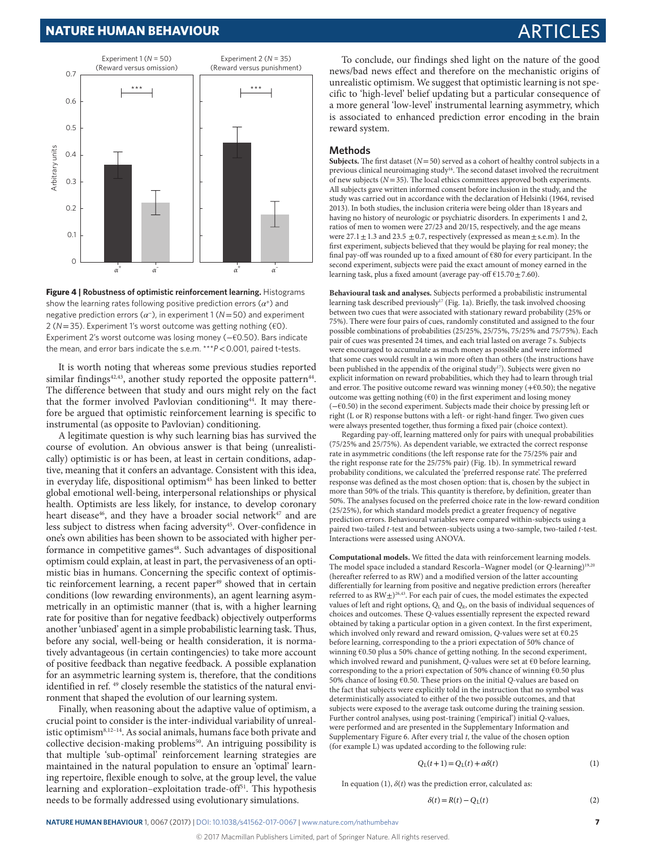# **NATURE HUMAN BEHAVIOUR** And the second second second second and  $\overline{ARTICLES}$



**Figure 4 | Robustness of optimistic reinforcement learning.** Histograms show the learning rates following positive prediction errors (*α*<sup>+</sup>) and negative prediction errors (*α*<sup>−</sup>), in experiment 1 (*N*= 50) and experiment 2 (*N*= 35). Experiment 1's worst outcome was getting nothing (€0). Experiment 2's worst outcome was losing money (−€0.50). Bars indicate the mean, and error bars indicate the s.e.m. \*\*\**P*< 0.001, paired t-tests.

It is worth noting that whereas some previous studies reported similar findings $42,43$  $42,43$ , another study reported the opposite pattern $44$ . The difference between that study and ours might rely on the fact that the former involved Pavlovian conditioning<sup>44</sup>. It may therefore be argued that optimistic reinforcement learning is specific to instrumental (as opposite to Pavlovian) conditioning.

A legitimate question is why such learning bias has survived the course of evolution. An obvious answer is that being (unrealistically) optimistic is or has been, at least in certain conditions, adaptive, meaning that it confers an advantage. Consistent with this idea, in everyday life, dispositional optimism<sup>45</sup> has been linked to better global emotional well-being, interpersonal relationships or physical health. Optimists are less likely, for instance, to develop coronary heart disease<sup>46</sup>, and they have a broader social network<sup>47</sup> and are less subject to distress when facing adversity<sup>45</sup>. Over-confidence in one's own abilities has been shown to be associated with higher performance in competitive games<sup>48</sup>. Such advantages of dispositional optimism could explain, at least in part, the pervasiveness of an optimistic bias in humans. Concerning the specific context of optimistic reinforcement learning, a recent paper<sup>49</sup> showed that in certain conditions (low rewarding environments), an agent learning asymmetrically in an optimistic manner (that is, with a higher learning rate for positive than for negative feedback) objectively outperforms another 'unbiased' agent in a simple probabilistic learning task. Thus, before any social, well-being or health consideration, it is normatively advantageous (in certain contingencies) to take more account of positive feedback than negative feedback. A possible explanation for an asymmetric learning system is, therefore, that the conditions identified in ref.<sup>49</sup> closely resemble the statistics of the natural environment that shaped the evolution of our learning system.

Finally, when reasoning about the adaptive value of optimism, a crucial point to consider is the inter-individual variability of unrealistic optimism<sup>8,12-14</sup>. As social animals, humans face both private and collective decision-making problems<sup>50</sup>. An intriguing possibility is that multiple 'sub-optimal' reinforcement learning strategies are maintained in the natural population to ensure an 'optimal' learning repertoire, flexible enough to solve, at the group level, the value learning and exploration–exploitation trade-off<sup>51</sup>. This hypothesis needs to be formally addressed using evolutionary simulations.

To conclude, our findings shed light on the nature of the good news/bad news effect and therefore on the mechanistic origins of unrealistic optimism. We suggest that optimistic learning is not specific to 'high-level' belief updating but a particular consequence of a more general 'low-level' instrumental learning asymmetry, which is associated to enhanced prediction error encoding in the brain reward system.

# **Methods**

**Subjects.** The first dataset (*N*=50) served as a cohort of healthy control subjects in a previous clinical neuroimaging stud[y16.](#page-8-7) The second dataset involved the recruitment of new subjects  $(N=35)$ . The local ethics committees approved both experiments. All subjects gave written informed consent before inclusion in the study, and the study was carried out in accordance with the declaration of Helsinki (1964, revised 2013). In both studies, the inclusion criteria were being older than 18years and having no history of neurologic or psychiatric disorders. In experiments 1 and 2, ratios of men to women were 27/23 and 20/15, respectively, and the age means were  $27.1 \pm 1.3$  and  $23.5 \pm 0.7$ , respectively (expressed as mean  $\pm$  s.e.m). In the first experiment, subjects believed that they would be playing for real money; the final pay-off was rounded up to a fixed amount of €80 for every participant. In the second experiment, subjects were paid the exact amount of money earned in the learning task, plus a fixed amount (average pay-off  $£15.70 \pm 7.60$ ).

**Behavioural task and analyses.** Subjects performed a probabilistic instrumental learning task described previously<sup>17</sup> [\(Fig. 1a\)](#page-1-0). Briefly, the task involved choosing between two cues that were associated with stationary reward probability (25% or 75%). There were four pairs of cues, randomly constituted and assigned to the four possible combinations of probabilities (25/25%, 25/75%, 75/25% and 75/75%). Each pair of cues was presented 24 times, and each trial lasted on average 7s. Subjects were encouraged to accumulate as much money as possible and were informed that some cues would result in a win more often than others (the instructions have been published in the appendix of the original study<sup>[17](#page-8-40)</sup>). Subjects were given no explicit information on reward probabilities, which they had to learn through trial and error. The positive outcome reward was winning money ( $+60.50$ ); the negative outcome was getting nothing  $(60)$  in the first experiment and losing money (−€0.50) in the second experiment. Subjects made their choice by pressing left or right (L or R) response buttons with a left- or right-hand finger. Two given cues were always presented together, thus forming a fixed pair (choice context).

Regarding pay-off, learning mattered only for pairs with unequal probabilities (75/25% and 25/75%). As dependent variable, we extracted the correct response rate in asymmetric conditions (the left response rate for the 75/25% pair and the right response rate for the 25/75% pair) ([Fig. 1b](#page-1-0)). In symmetrical reward probability conditions, we calculated the 'preferred response rate'. The preferred response was defined as the most chosen option: that is, chosen by the subject in more than 50% of the trials. This quantity is therefore, by definition, greater than 50%. The analyses focused on the preferred choice rate in the low-reward condition (25/25%), for which standard models predict a greater frequency of negative prediction errors. Behavioural variables were compared within-subjects using a paired two-tailed *t*-test and between-subjects using a two-sample, two-tailed *t*-test. Interactions were assessed using ANOVA.

**Computational models.** We fitted the data with reinforcement learning models. The model space included a standard Rescorla–Wagner model (or *Q-*learning[\)19](#page-8-8)[,20](#page-8-9) (hereafter referred to as RW) and a modified version of the latter accounting differentially for learning from positive and negative prediction errors (hereafter referred to as  $RW_{\pm}$ )<sup>26,43</sup>. For each pair of cues, the model estimates the expected values of left and right options,  $Q_L$  and  $Q_R$ , on the basis of individual sequences of choices and outcomes. These *Q*-values essentially represent the expected reward obtained by taking a particular option in a given context. In the first experiment, which involved only reward and reward omission, *Q*-values were set at €0.25 before learning, corresponding to the a priori expectation of 50% chance of winning  $\mathsf{60.50}$  plus a 50% chance of getting nothing. In the second experiment, which involved reward and punishment, *Q*-values were set at €0 before learning, corresponding to the a priori expectation of 50% chance of winning  $€0.50$  plus 50% chance of losing €0.50. These priors on the initial *Q*-values are based on the fact that subjects were explicitly told in the instruction that no symbol was deterministically associated to either of the two possible outcomes, and that subjects were exposed to the average task outcome during the training session. Further control analyses, using post-training ('empirical') initial *Q*-values, were performed and are presented in the Supplementary Information and Supplementary Figure 6. After every trial *t*, the value of the chosen option (for example L) was updated according to the following rule:

$$
Q_{L}(t+1) = Q_{L}(t) + \alpha \delta(t)
$$
\n(1)

In equation (1),  $\delta(t)$  was the prediction error, calculated as:

$$
\delta(t) = R(t) - Q_{\rm L}(t) \tag{2}
$$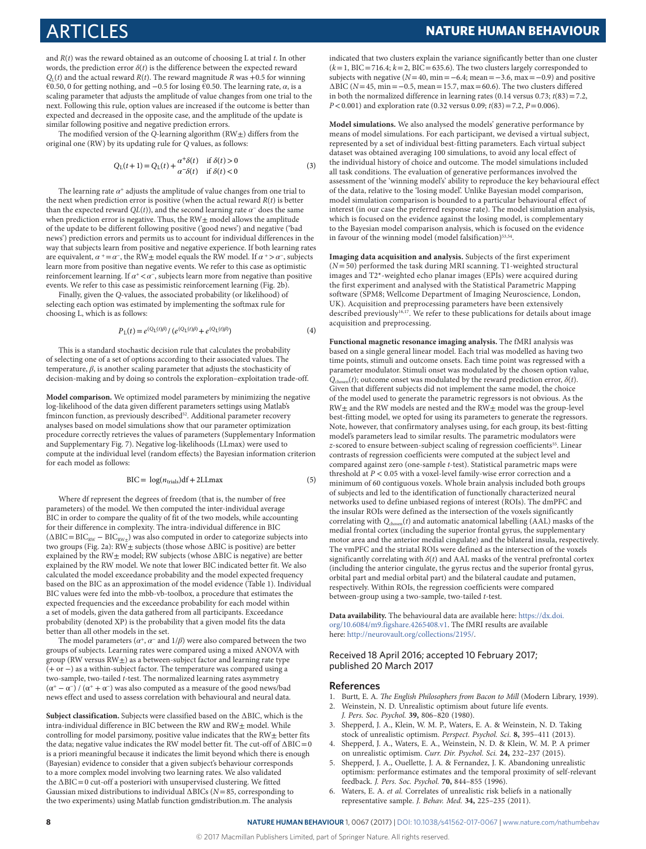and *R*(*t*) was the reward obtained as an outcome of choosing L at trial *t*. In other words, the prediction error  $\delta(t)$  is the difference between the expected reward  $Q_1(t)$  and the actual reward *R*(*t*). The reward magnitude *R* was +0.5 for winning €0.50, 0 for getting nothing, and −0.5 for losing €0.50. The learning rate, *α*, is a scaling parameter that adjusts the amplitude of value changes from one trial to the next. Following this rule, option values are increased if the outcome is better than expected and decreased in the opposite case, and the amplitude of the update is similar following positive and negative prediction errors.

The modified version of the *Q*-learning algorithm (RW±) differs from the original one (RW) by its updating rule for *Q* values, as follows:

$$
Q_{L}(t+1) = Q_{L}(t) + \frac{\alpha^{+}\delta(t)}{\alpha^{-}\delta(t)} \quad \text{if } \delta(t) > 0 \tag{3}
$$

The learning rate  $\alpha^+$  adjusts the amplitude of value changes from one trial to the next when prediction error is positive (when the actual reward  $R(t)$  is better than the expected reward  $QL(t)$ ), and the second learning rate  $\alpha$ <sup>−</sup> does the same when prediction error is negative. Thus, the RW $\pm$  model allows the amplitude of the update to be different following positive ('good news') and negative ('bad news') prediction errors and permits us to account for individual differences in the way that subjects learn from positive and negative experience. If both learning rates are equivalent,  $\alpha$  + =  $\alpha$ <sup>−</sup>, the RW± model equals the RW model. If  $\alpha$  + >  $\alpha$ <sup>−</sup>, subjects learn more from positive than negative events. We refer to this case as optimistic reinforcement learning. If  $\alpha^+ < \alpha^-$ , subjects learn more from negative than positive events. We refer to this case as pessimistic reinforcement learning [\(Fig. 2b\)](#page-2-0).

Finally, given the *Q*-values, the associated probability (or likelihood) of selecting each option was estimated by implementing the softmax rule for choosing L, which is as follows:

$$
P_{\rm L}(t) = e^{(Q_{\rm L}(t)\beta)} / (e^{(Q_{\rm L}(t)\beta)} + e^{(Q_{\rm L}(t)\beta)})
$$
\n(4)

This is a standard stochastic decision rule that calculates the probability of selecting one of a set of options according to their associated values. The temperature, *β*, is another scaling parameter that adjusts the stochasticity of decision-making and by doing so controls the exploration–exploitation trade-off.

**Model comparison.** We optimized model parameters by minimizing the negative log-likelihood of the data given different parameters settings using Matlab's fmincon function, as previously described<sup>52</sup>. Additional parameter recovery analyses based on model simulations show that our parameter optimization procedure correctly retrieves the values of parameters (Supplementary Information and Supplementary Fig. 7). Negative log-likelihoods (LLmax) were used to compute at the individual level (random effects) the Bayesian information criterion for each model as follows:

$$
BIC = \log(n_{\text{trials}})df + 2LLmax
$$
 (5)

Where df represent the degrees of freedom (that is, the number of free parameters) of the model. We then computed the inter-individual average BIC in order to compare the quality of fit of the two models, while accounting for their difference in complexity. The intra-individual difference in BIC  $(\Delta BIC = BIC<sub>RW</sub> - BIC<sub>RW±</sub>)$  was also computed in order to categorize subjects into two groups [\(Fig. 2a](#page-2-0)): RW± subjects (those whose ∆BIC is positive) are better explained by the RW± model; RW subjects (whose ∆BIC is negative) are better explained by the RW model. We note that lower BIC indicated better fit. We also calculated the model exceedance probability and the model expected frequency based on the BIC as an approximation of the model evidence [\(Table 1\)](#page-2-1). Individual BIC values were fed into the mbb-vb-toolbox, a procedure that estimates the expected frequencies and the exceedance probability for each model within a set of models, given the data gathered from all participants. Exceedance probability (denoted XP) is the probability that a given model fits the data better than all other models in the set.

The model parameters ( $\alpha^+$ ,  $\alpha^-$  and  $1/\beta$ ) were also compared between the two groups of subjects. Learning rates were compared using a mixed ANOVA with group (RW versus  $RW_{\pm}$ ) as a between-subject factor and learning rate type (+ or −) as a within-subject factor. The temperature was compared using a two-sample, two-tailed *t*-test. The normalized learning rates asymmetry  $(\alpha^+ - \alpha^-)/(\alpha^+ + \alpha^-)$  was also computed as a measure of the good news/bad news effect and used to assess correlation with behavioural and neural data.

**Subject classification.** Subjects were classified based on the ∆BIC, which is the intra-individual difference in BIC between the RW and RW± model. While controlling for model parsimony, positive value indicates that the RW $\pm$  better fits the data; negative value indicates the RW model better fit. The cut-off of ∆BIC=0 is a priori meaningful because it indicates the limit beyond which there is enough (Bayesian) evidence to consider that a given subject's behaviour corresponds to a more complex model involving two learning rates. We also validated the ∆BIC=0 cut-off a posteriori with unsupervised clustering. We fitted Gaussian mixed distributions to individual ∆BICs (*N*=85, corresponding to the two experiments) using Matlab function gmdistribution.m. The analysis

indicated that two clusters explain the variance significantly better than one cluster  $(k=1, BIC = 716.4; k=2, BIC = 635.6)$ . The two clusters largely corresponded to subjects with negative ( $N=40$ , min=−6.4; mean=−3.6, max=−0.9) and positive ∆BIC (*N*=45, min=−0.5, mean=15.7, max=60.6). The two clusters differed in both the normalized difference in learning rates  $(0.14 \text{ versus } 0.73; t(83)=7.2,$ *P*<0.001) and exploration rate (0.32 versus 0.09; *t*(83)=7.2, *P*=0.006).

**Model simulations.** We also analysed the models' generative performance by means of model simulations. For each participant, we devised a virtual subject, represented by a set of individual best-fitting parameters. Each virtual subject dataset was obtained averaging 100 simulations, to avoid any local effect of the individual history of choice and outcome. The model simulations included all task conditions. The evaluation of generative performances involved the assessment of the 'winning model's' ability to reproduce the key behavioural effect of the data, relative to the 'losing model'. Unlike Bayesian model comparison, model simulation comparison is bounded to a particular behavioural effect of interest (in our case the preferred response rate). The model simulation analysis, which is focused on the evidence against the losing model, is complementary to the Bayesian model comparison analysis, which is focused on the evidence in favour of the winning model (model falsification)<sup>[53,](#page-8-42)[54](#page-8-43)</sup>.

**Imaging data acquisition and analysis.** Subjects of the first experiment (*N* =50) performed the task during MRI scanning. T1-weighted structural images and T2\*-weighted echo planar images (EPIs) were acquired during the first experiment and analysed with the Statistical Parametric Mapping software (SPM8; Wellcome Department of Imaging Neuroscience, London, UK). Acquisition and preprocessing parameters have been extensively described previously<sup>16,[17](#page-8-40)</sup>. We refer to these publications for details about image acquisition and preprocessing.

**Functional magnetic resonance imaging analysis.** The fMRI analysis was based on a single general linear model. Each trial was modelled as having two time points, stimuli and outcome onsets. Each time point was regressed with a parameter modulator. Stimuli onset was modulated by the chosen option value,  $Q_{\text{chosen}}(t)$ ; outcome onset was modulated by the reward prediction error,  $\delta(t)$ . Given that different subjects did not implement the same model, the choice of the model used to generate the parametric regressors is not obvious. As the RW± and the RW models are nested and the RW± model was the group-level best-fitting model, we opted for using its parameters to generate the regressors. Note, however, that confirmatory analyses using, for each group, its best-fitting model's parameters lead to similar results. The parametric modulators were *z*-scored to ensure between-subject scaling of regression coefficients<sup>55</sup>. Linear contrasts of regression coefficients were computed at the subject level and compared against zero (one-sample *t*-test). Statistical parametric maps were threshold at  $P < 0.05$  with a voxel-level family-wise error correction and a minimum of 60 contiguous voxels. Whole brain analysis included both groups of subjects and led to the identification of functionally characterized neural networks used to define unbiased regions of interest (ROIs). The dmPFC and the insular ROIs were defined as the intersection of the voxels significantly correlating with  $Q<sub>chosen</sub>(t)$  and automatic anatomical labelling (AAL) masks of the medial frontal cortex (including the superior frontal gyrus, the supplementary motor area and the anterior medial cingulate) and the bilateral insula, respectively. The vmPFC and the striatal ROIs were defined as the intersection of the voxels significantly correlating with  $\delta(t)$  and AAL masks of the ventral prefrontal cortex (including the anterior cingulate, the gyrus rectus and the superior frontal gyrus, orbital part and medial orbital part) and the bilateral caudate and putamen, respectively. Within ROIs, the regression coefficients were compared between-group using a two-sample, two-tailed *t*-test.

**Data availability.** The behavioural data are available here: [https://dx.doi.](https://dx.doi.org/10.6084/m9.figshare.4265408.v1) [org/10.6084/m9.figshare.4265408.v1.](https://dx.doi.org/10.6084/m9.figshare.4265408.v1) The fMRI results are available here: [http://neurovault.org/collections/2195/.](http://neurovault.org/collections/2195/)

# Received 18 April 2016; accepted 10 February 2017; published 20 March 2017

### **References**

- <span id="page-7-0"></span>1. Burtt, E. A. *The English Philosophers from Bacon to Mill* (Modern Library, 1939).
- <span id="page-7-1"></span>Weinstein, N. D. Unrealistic optimism about future life events. *J. Pers. Soc. Psychol.* **39,** 806–820 (1980).
- 3. Shepperd, J. A., Klein, W. M. P., Waters, E. A. & Weinstein, N. D. Taking stock of unrealistic optimism. *Perspect. Psychol. Sci.* **8,** 395–411 (2013).
- 4. Shepperd, J. A., Waters, E. A., Weinstein, N. D. & Klein, W. M. P. A primer on unrealistic optimism. *Curr. Dir. Psychol. Sci.* **24,** 232–237 (2015).
- <span id="page-7-2"></span>5. Shepperd, J. A., Ouellette, J. A. & Fernandez, J. K. Abandoning unrealistic optimism: performance estimates and the temporal proximity of self-relevant feedback. *J. Pers. Soc. Psychol.* **70,** 844–855 (1996).
- <span id="page-7-3"></span>6. Waters, E. A. *et al.* Correlates of unrealistic risk beliefs in a nationally representative sample. *J. Behav. Med.* **34,** 225–235 (2011).